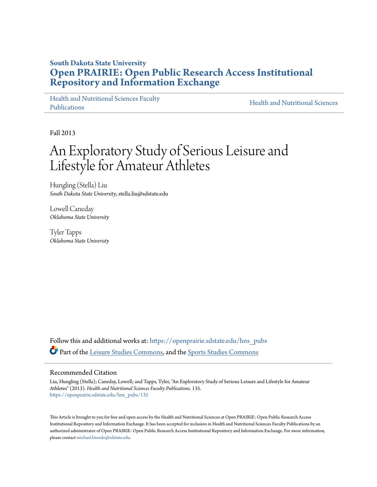# **South Dakota State University [Open PRAIRIE: Open Public Research Access Institutional](https://openprairie.sdstate.edu?utm_source=openprairie.sdstate.edu%2Fhns_pubs%2F135&utm_medium=PDF&utm_campaign=PDFCoverPages) [Repository and Information Exchange](https://openprairie.sdstate.edu?utm_source=openprairie.sdstate.edu%2Fhns_pubs%2F135&utm_medium=PDF&utm_campaign=PDFCoverPages)**

[Health and Nutritional Sciences Faculty](https://openprairie.sdstate.edu/hns_pubs?utm_source=openprairie.sdstate.edu%2Fhns_pubs%2F135&utm_medium=PDF&utm_campaign=PDFCoverPages) [Publications](https://openprairie.sdstate.edu/hns_pubs?utm_source=openprairie.sdstate.edu%2Fhns_pubs%2F135&utm_medium=PDF&utm_campaign=PDFCoverPages)

[Health and Nutritional Sciences](https://openprairie.sdstate.edu/hns?utm_source=openprairie.sdstate.edu%2Fhns_pubs%2F135&utm_medium=PDF&utm_campaign=PDFCoverPages)

Fall 2013

# An Exploratory Study of Serious Leisure and Lifestyle for Amateur Athletes

Hungling (Stella) Liu *South Dakota State University*, stella.liu@sdstate.edu

Lowell Caneday *Oklahoma State University*

Tyler Tapps *Oklahoma State Univeristy*

Follow this and additional works at: [https://openprairie.sdstate.edu/hns\\_pubs](https://openprairie.sdstate.edu/hns_pubs?utm_source=openprairie.sdstate.edu%2Fhns_pubs%2F135&utm_medium=PDF&utm_campaign=PDFCoverPages) Part of the [Leisure Studies Commons,](http://network.bepress.com/hgg/discipline/1197?utm_source=openprairie.sdstate.edu%2Fhns_pubs%2F135&utm_medium=PDF&utm_campaign=PDFCoverPages) and the [Sports Studies Commons](http://network.bepress.com/hgg/discipline/1198?utm_source=openprairie.sdstate.edu%2Fhns_pubs%2F135&utm_medium=PDF&utm_campaign=PDFCoverPages)

#### Recommended Citation

Liu, Hungling (Stella); Caneday, Lowell; and Tapps, Tyler, "An Exploratory Study of Serious Leisure and Lifestyle for Amateur Athletes" (2013). *Health and Nutritional Sciences Faculty Publications*. 135. [https://openprairie.sdstate.edu/hns\\_pubs/135](https://openprairie.sdstate.edu/hns_pubs/135?utm_source=openprairie.sdstate.edu%2Fhns_pubs%2F135&utm_medium=PDF&utm_campaign=PDFCoverPages)

This Article is brought to you for free and open access by the Health and Nutritional Sciences at Open PRAIRIE: Open Public Research Access Institutional Repository and Information Exchange. It has been accepted for inclusion in Health and Nutritional Sciences Faculty Publications by an authorized administrator of Open PRAIRIE: Open Public Research Access Institutional Repository and Information Exchange. For more information, please contact [michael.biondo@sdstate.edu](mailto:michael.biondo@sdstate.edu).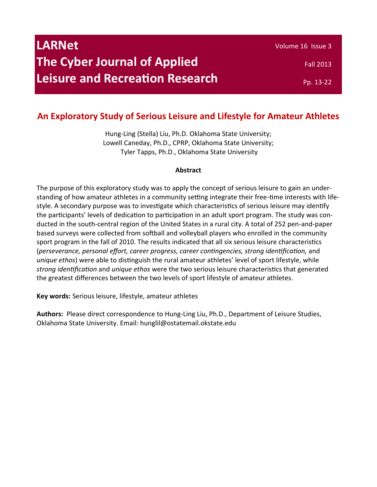| <b>LARNet</b>                          | Volume 16 Issue 3 |
|----------------------------------------|-------------------|
| <b>The Cyber Journal of Applied</b>    | <b>Fall 2013</b>  |
| <b>Leisure and Recreation Research</b> | Pp. 13-22         |

# **An Exploratory Study of Serious Leisure and Lifestyle for Amateur Athletes**

Hung-Ling (Stella) Liu, Ph.D. Oklahoma State University; Lowell Caneday, Ph.D., CPRP, Oklahoma State University; Tyler Tapps, Ph.D., Oklahoma State University

# **Abstract**

The purpose of this exploratory study was to apply the concept of serious leisure to gain an understanding of how amateur athletes in a community setting integrate their free-time interests with lifestyle. A secondary purpose was to investigate which characteristics of serious leisure may identify the participants' levels of dedication to participation in an adult sport program. The study was conducted in the south-central region of the United States in a rural city. A total of 252 pen-and-paper based surveys were collected from softball and volleyball players who enrolled in the community sport program in the fall of 2010. The results indicated that all six serious leisure characteristics (*perseverance, personal effort, career progress, career contingencies, strong identification,* and *unique ethos*) were able to distinguish the rural amateur athletes' level of sport lifestyle, while *strong identification* and *unique ethos* were the two serious leisure characteristics that generated the greatest differences between the two levels of sport lifestyle of amateur athletes.

**Key words:** Serious leisure, lifestyle, amateur athletes

**Authors:** Please direct correspondence to Hung-Ling Liu, Ph.D., Department of Leisure Studies, Oklahoma State University. Email: hunglil@ostatemail.okstate.edu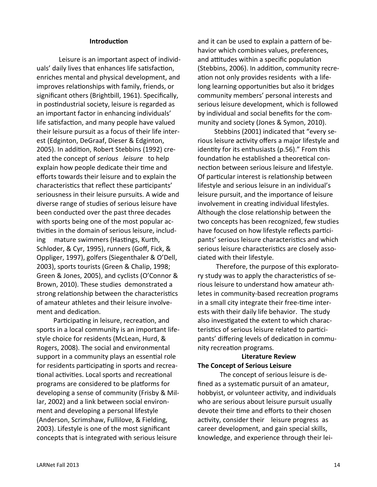### **Introduction**

Leisure is an important aspect of individuals' daily lives that enhances life satisfaction, enriches mental and physical development, and improves relationships with family, friends, or significant others (Brightbill, 1961). Specifically, in postindustrial society, leisure is regarded as an important factor in enhancing individuals' life satisfaction, and many people have valued their leisure pursuit as a focus of their life interest (Edginton, DeGraaf, Dieser & Edginton, 2005). In addition, Robert Stebbins (1992) created the concept of *serious leisure* to help explain how people dedicate their time and efforts towards their leisure and to explain the characteristics that reflect these participants' seriousness in their leisure pursuits. A wide and diverse range of studies of serious leisure have been conducted over the past three decades with sports being one of the most popular activities in the domain of serious leisure, including mature swimmers (Hastings, Kurth, Schloder, & Cyr, 1995), runners (Goff, Fick, & Oppliger, 1997), golfers (Siegenthaler & O'Dell, 2003), sports tourists (Green & Chalip, 1998; Green & Jones, 2005), and cyclists (O'Connor & Brown, 2010). These studies demonstrated a strong relationship between the characteristics of amateur athletes and their leisure involvement and dedication.

 Participating in leisure, recreation, and sports in a local community is an important lifestyle choice for residents (McLean, Hurd, & Rogers, 2008). The social and environmental support in a community plays an essential role for residents participating in sports and recreational activities. Local sports and recreational programs are considered to be platforms for developing a sense of community (Frisby & Millar, 2002) and a link between social environment and developing a personal lifestyle (Anderson, Scrimshaw, Fullilove, & Fielding, 2003). Lifestyle is one of the most significant concepts that is integrated with serious leisure

and it can be used to explain a pattern of behavior which combines values, preferences, and attitudes within a specific population (Stebbins, 2006). In addition, community recreation not only provides residents with a lifelong learning opportunities but also it bridges community members' personal interests and serious leisure development, which is followed by individual and social benefits for the community and society (Jones & Symon, 2010).

 Stebbins (2001) indicated that "every serious leisure activity offers a major lifestyle and identity for its enthusiasts (p.56)." From this foundation he established a theoretical connection between serious leisure and lifestyle. Of particular interest is relationship between lifestyle and serious leisure in an individual's leisure pursuit, and the importance of leisure involvement in creating individual lifestyles. Although the close relationship between the two concepts has been recognized, few studies have focused on how lifestyle reflects participants' serious leisure characteristics and which serious leisure characteristics are closely associated with their lifestyle.

 Therefore, the purpose of this exploratory study was to apply the characteristics of serious leisure to understand how amateur athletes in community-based recreation programs in a small city integrate their free-time interests with their daily life behavior. The study also investigated the extent to which characteristics of serious leisure related to participants' differing levels of dedication in community recreation programs.

# **Literature Review The Concept of Serious Leisure**

The concept of serious leisure is defined as a systematic pursuit of an amateur, hobbyist, or volunteer activity, and individuals who are serious about leisure pursuit usually devote their time and efforts to their chosen activity, consider their leisure progress as career development, and gain special skills, knowledge, and experience through their lei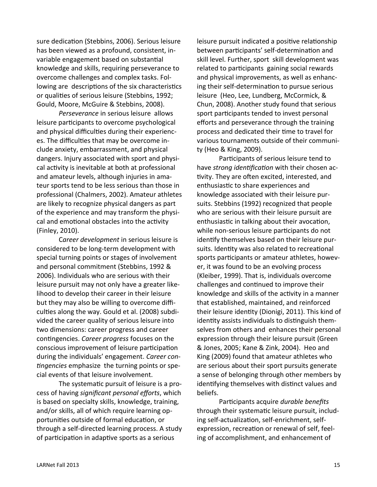sure dedication (Stebbins, 2006). Serious leisure has been viewed as a profound, consistent, invariable engagement based on substantial knowledge and skills, requiring perseverance to overcome challenges and complex tasks. Following are descriptions of the six characteristics or qualities of serious leisure (Stebbins, 1992; Gould, Moore, McGuire & Stebbins, 2008).

*Perseverance* in serious leisure allows leisure participants to overcome psychological and physical difficulties during their experiences. The difficulties that may be overcome include anxiety, embarrassment, and physical dangers. Injury associated with sport and physical activity is inevitable at both at professional and amateur levels, although injuries in amateur sports tend to be less serious than those in professional (Chalmers, 2002). Amateur athletes are likely to recognize physical dangers as part of the experience and may transform the physical and emotional obstacles into the activity (Finley, 2010).

C*areer development* in serious leisure is considered to be long-term development with special turning points or stages of involvement and personal commitment (Stebbins, 1992 & 2006). Individuals who are serious with their leisure pursuit may not only have a greater likelihood to develop their career in their leisure but they may also be willing to overcome difficulties along the way. Gould et al. (2008) subdivided the career quality of serious leisure into two dimensions: career progress and career contingencies. *Career progress* focuses on the conscious improvement of leisure participation during the individuals' engagement. *Career contingencies* emphasize the turning points or special events of that leisure involvement.

The systematic pursuit of leisure is a process of having *significant personal efforts*, which is based on specialty skills, knowledge, training, and/or skills, all of which require learning opportunities outside of formal education, or through a self-directed learning process. A study of participation in adaptive sports as a serious

leisure pursuit indicated a positive relationship between participants' self-determination and skill level. Further, sport skill development was related to participants gaining social rewards and physical improvements, as well as enhancing their self-determination to pursue serious leisure (Heo, Lee, Lundberg, McCormick, & Chun, 2008). Another study found that serious sport participants tended to invest personal efforts and perseverance through the training process and dedicated their time to travel for various tournaments outside of their community (Heo & King, 2009).

Participants of serious leisure tend to have *strong identification* with their chosen activity. They are often excited, interested, and enthusiastic to share experiences and knowledge associated with their leisure pursuits. Stebbins (1992) recognized that people who are serious with their leisure pursuit are enthusiastic in talking about their avocation, while non-serious leisure participants do not identify themselves based on their leisure pursuits. Identity was also related to recreational sports participants or amateur athletes, however, it was found to be an evolving process (Kleiber, 1999). That is, individuals overcome challenges and continued to improve their knowledge and skills of the activity in a manner that established, maintained, and reinforced their leisure identity (Dionigi, 2011). This kind of identity assists individuals to distinguish themselves from others and enhances their personal expression through their leisure pursuit (Green & Jones, 2005; Kane & Zink, 2004). Heo and King (2009) found that amateur athletes who are serious about their sport pursuits generate a sense of belonging through other members by identifying themselves with distinct values and beliefs.

Participants acquire *durable benefits* through their systematic leisure pursuit, including self-actualization, self-enrichment, selfexpression, recreation or renewal of self, feeling of accomplishment, and enhancement of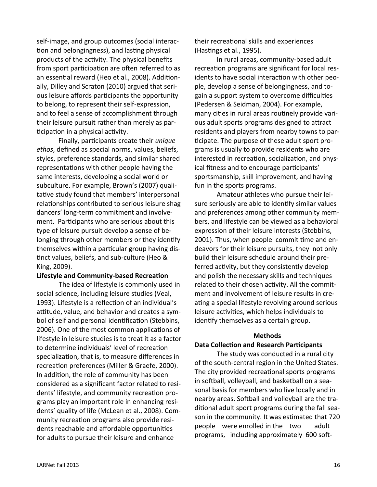self-image, and group outcomes (social interaction and belongingness), and lasting physical products of the activity. The physical benefits from sport participation are often referred to as an essential reward (Heo et al., 2008). Additionally, Dilley and Scraton (2010) argued that serious leisure affords participants the opportunity to belong, to represent their self-expression, and to feel a sense of accomplishment through their leisure pursuit rather than merely as participation in a physical activity.

 Finally, participants create their *unique ethos*, defined as special norms, values, beliefs, styles, preference standards, and similar shared representations with other people having the same interests, developing a social world or subculture. For example, Brown's (2007) qualitative study found that members' interpersonal relationships contributed to serious leisure shag dancers' long-term commitment and involvement. Participants who are serious about this type of leisure pursuit develop a sense of belonging through other members or they identify themselves within a particular group having distinct values, beliefs, and sub-culture [\(Heo &](file:///O:/KNR%20Shared%20folders/101Office/Larnet/Formatting%20in%20progress/Ready%20for%20formatting%20An%20exploratory%20study%20of%20serious%20leisure%20and%20lifestyle.docx#_ENREF_25#_ENREF_25)  [King, 2009\)](file:///O:/KNR%20Shared%20folders/101Office/Larnet/Formatting%20in%20progress/Ready%20for%20formatting%20An%20exploratory%20study%20of%20serious%20leisure%20and%20lifestyle.docx#_ENREF_25#_ENREF_25).

#### **Lifestyle and Community-based Recreation**

The idea of lifestyle is commonly used in social science, including leisure studies (Veal, 1993). Lifestyle is a reflection of an individual's attitude, value, and behavior and creates a symbol of self and personal identification (Stebbins, 2006). One of the most common applications of lifestyle in leisure studies is to treat it as a factor to determine individuals' level of recreation specialization, that is, to measure differences in recreation preferences (Miller & Graefe, 2000). In addition, the role of community has been considered as a significant factor related to residents' lifestyle, and community recreation programs play an important role in enhancing residents' quality of life (McLean et al., 2008). Community recreation programs also provide residents reachable and affordable opportunities for adults to pursue their leisure and enhance

their recreational skills and experiences (Hastings et al., 1995).

In rural areas, community-based adult recreation programs are significant for local residents to have social interaction with other people, develop a sense of belongingness, and togain a support system to overcome difficulties (Pedersen & Seidman, 2004). For example, many cities in rural areas routinely provide various adult sports programs designed to attract residents and players from nearby towns to participate. The purpose of these adult sport programs is usually to provide residents who are interested in recreation, socialization, and physical fitness and to encourage participants' sportsmanship, skill improvement, and having fun in the sports programs.

Amateur athletes who pursue their leisure seriously are able to identify similar values and preferences among other community members, and lifestyle can be viewed as a behavioral expression of their leisure interests (Stebbins, 2001). Thus, when people commit time and endeavors for their leisure pursuits, they not only build their leisure schedule around their preferred activity, but they consistently develop and polish the necessary skills and techniques related to their chosen activity. All the commitment and involvement of leisure results in creating a special lifestyle revolving around serious leisure activities, which helps individuals to identify themselves as a certain group.

#### **Methods**

#### **Data Collection and Research Participants**

The study was conducted in a rural city of the south-central region in the United States. The city provided recreational sports programs in softball, volleyball, and basketball on a seasonal basis for members who live locally and in nearby areas. Softball and volleyball are the traditional adult sport programs during the fall season in the community. It was estimated that 720 people were enrolled in the two adult programs, including approximately 600 soft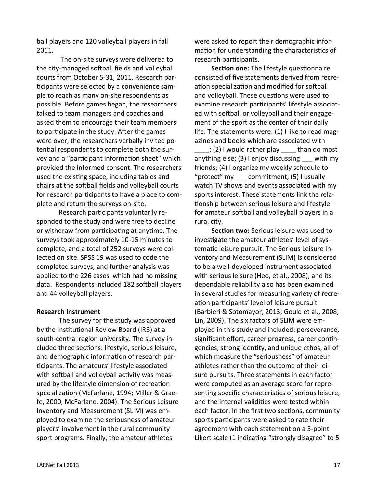ball players and 120 volleyball players in fall 2011.

The on-site surveys were delivered to the city-managed softball fields and volleyball courts from October 5-31, 2011. Research participants were selected by a convenience sample to reach as many on-site respondents as possible. Before games began, the researchers talked to team managers and coaches and asked them to encourage their team members to participate in the study. After the games were over, the researchers verbally invited potential respondents to complete both the survey and a "participant information sheet" which provided the informed consent. The researchers used the existing space, including tables and chairs at the softball fields and volleyball courts for research participants to have a place to complete and return the surveys on-site.

Research participants voluntarily responded to the study and were free to decline or withdraw from participating at anytime. The surveys took approximately 10-15 minutes to complete, and a total of 252 surveys were collected on site. SPSS 19 was used to code the completed surveys, and further analysis was applied to the 226 cases which had no missing data. Respondents included 182 softball players and 44 volleyball players.

# **Research Instrument**

The survey for the study was approved by the Institutional Review Board (IRB) at a south-central region university. The survey included three sections: lifestyle, serious leisure, and demographic information of research participants. The amateurs' lifestyle associated with softball and volleyball activity was measured by the lifestyle dimension of recreation specialization (McFarlane, 1994; Miller & Graefe, 2000; McFarlane, 2004). The Serious Leisure Inventory and Measurement (SLIM) was employed to examine the seriousness of amateur players' involvement in the rural community sport programs. Finally, the amateur athletes

were asked to report their demographic information for understanding the characteristics of research participants.

 **Section one**: The lifestyle questionnaire consisted of five statements derived from recreation specialization and modified for softball and volleyball. These questions were used to examine research participants' lifestyle associated with softball or volleyball and their engagement of the sport as the center of their daily life. The statements were: (1) I like to read magazines and books which are associated with

 $; (2)$  I would rather play than do most anything else; (3) I enjoy discussing with my friends; (4) I organize my weekly schedule to "protect" my commitment, (5) I usually watch TV shows and events associated with my sports interest. These statements link the relationship between serious leisure and lifestyle for amateur softball and volleyball players in a rural city.

 **Section two:** Serious leisure was used to investigate the amateur athletes' level of systematic leisure pursuit. The Serious Leisure Inventory and Measurement (SLIM) is considered to be a well-developed instrument associated with serious leisure (Heo, et al., 2008), and its dependable reliability also has been examined in several studies for measuring variety of recreation participants' level of leisure pursuit (Barbieri & Sotomayor, 2013; Gould et al., 2008; Lin, 2009). The six factors of SLIM were employed in this study and included: perseverance, significant effort, career progress, career contingencies, strong identity, and unique ethos, all of which measure the "seriousness" of amateur athletes rather than the outcome of their leisure pursuits. Three statements in each factor were computed as an average score for representing specific characteristics of serious leisure, and the internal validities were tested within each factor. In the first two sections, community sports participants were asked to rate their agreement with each statement on a 5-point Likert scale (1 indicating "strongly disagree" to 5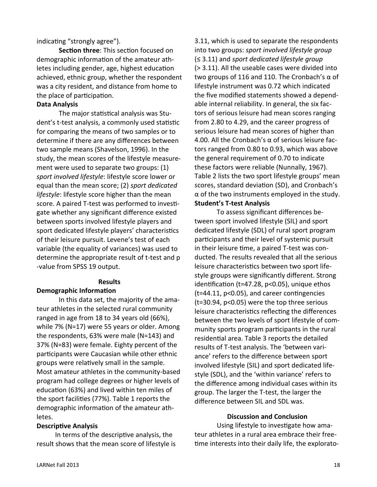indicating "strongly agree").

**Section three**: This section focused on demographic information of the amateur athletes including gender, age, highest education achieved, ethnic group, whether the respondent was a city resident, and distance from home to the place of participation.

# **Data Analysis**

The major statistical analysis was Student's t-test analysis, a commonly used statistic for comparing the means of two samples or to determine if there are any differences between two sample means (Shavelson, 1996). In the study, the mean scores of the lifestyle measurement were used to separate two groups: (1) *sport involved lifestyle*: lifestyle score lower or equal than the mean score; (2) *sport dedicated lifestyle*: lifestyle score higher than the mean score. A paired T-test was performed to investigate whether any significant difference existed between sports involved lifestyle players and sport dedicated lifestyle players' characteristics of their leisure pursuit. Levene's test of each variable (the equality of variances) was used to determine the appropriate result of t-test and p -value from SPSS 19 output.

# **Results**

# **Demographic Information**

In this data set, the majority of the amateur athletes in the selected rural community ranged in age from 18 to 34 years old (66%), while 7% (N=17) were 55 years or older. Among the respondents, 63% were male (N=143) and 37% (N=83) were female. Eighty percent of the participants were Caucasian while other ethnic groups were relatively small in the sample. Most amateur athletes in the community-based program had college degrees or higher levels of education (63%) and lived within ten miles of the sport facilities (77%). Table 1 reports the demographic information of the amateur athletes.

# **Descriptive Analysis**

 In terms of the descriptive analysis, the result shows that the mean score of lifestyle is 3.11, which is used to separate the respondents into two groups: *sport involved lifestyle group* (≤ 3.11) and *sport dedicated lifestyle group* (> 3.11). All the useable cases were divided into two groups of 116 and 110. The Cronbach's α of lifestyle instrument was 0.72 which indicated the five modified statements showed a dependable internal reliability. In general, the six factors of serious leisure had mean scores ranging from 2.80 to 4.29, and the career progress of serious leisure had mean scores of higher than 4.00. All the Cronbach's α of serious leisure factors ranged from 0.80 to 0.93, which was above the general requirement of 0.70 to indicate these factors were reliable (Nunnally, 1967). Table 2 lists the two sport lifestyle groups' mean scores, standard deviation (SD), and Cronbach's  $\alpha$  of the two instruments employed in the study. **Student's T-test Analysis**

To assess significant differences between sport involved lifestyle (SIL) and sport dedicated lifestyle (SDL) of rural sport program participants and their level of systemic pursuit in their leisure time, a paired T-test was conducted. The results revealed that all the serious leisure characteristics between two sport lifestyle groups were significantly different. Strong identification (t=47.28, p<0.05), unique ethos (t=44.11, p<0.05), and career contingencies (t=30.94, p<0.05) were the top three serious leisure characteristics reflecting the differences between the two levels of sport lifestyle of community sports program participants in the rural residential area. Table 3 reports the detailed results of T-test analysis. The 'between variance' refers to the difference between sport involved lifestyle (SIL) and sport dedicated lifestyle (SDL), and the 'within variance' refers to the difference among individual cases within its group. The larger the T-test, the larger the difference between SIL and SDL was.

# **Discussion and Conclusion**

Using lifestyle to investigate how amateur athletes in a rural area embrace their freetime interests into their daily life, the explorato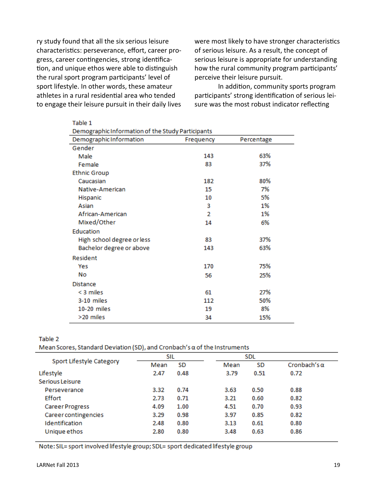ry study found that all the six serious leisure characteristics: perseverance, effort, career progress, career contingencies, strong identification, and unique ethos were able to distinguish the rural sport program participants' level of sport lifestyle. In other words, these amateur athletes in a rural residential area who tended to engage their leisure pursuit in their daily lives

Table 1

were most likely to have stronger characteristics of serious leisure. As a result, the concept of serious leisure is appropriate for understanding how the rural community program participants' perceive their leisure pursuit.

 In addition, community sports program participants' strong identification of serious leisure was the most robust indicator reflecting

| Demographic Information of the Study Participants |           |            |  |  |  |  |
|---------------------------------------------------|-----------|------------|--|--|--|--|
| Demographic Information                           | Frequency | Percentage |  |  |  |  |
| Gender                                            |           |            |  |  |  |  |
| Male                                              | 143       | 63%        |  |  |  |  |
| Female                                            | 83        | 37%        |  |  |  |  |
| <b>Ethnic Group</b>                               |           |            |  |  |  |  |
| Caucasian                                         | 182       | 80%        |  |  |  |  |
| Native-American                                   | 15        | 7%         |  |  |  |  |
| Hispanic                                          | 10        | 5%         |  |  |  |  |
| Asian                                             | 3         | 1%         |  |  |  |  |
| African-American                                  | 2         | 1%         |  |  |  |  |
| Mixed/Other                                       | 14        | 6%         |  |  |  |  |
| Education                                         |           |            |  |  |  |  |
| High school degree or less                        | 83        | 37%        |  |  |  |  |
| Bachelor degree or above                          | 143       | 63%        |  |  |  |  |
| Resident                                          |           |            |  |  |  |  |
| Yes                                               | 170       | 75%        |  |  |  |  |
| No                                                | 56        | 25%        |  |  |  |  |
| <b>Distance</b>                                   |           |            |  |  |  |  |
| $<$ 3 miles                                       | 61        | 27%        |  |  |  |  |
| 3-10 miles                                        | 112       | 50%        |  |  |  |  |
| 10-20 miles                                       | 19        | 8%         |  |  |  |  |
| >20 miles                                         | 34        | 15%        |  |  |  |  |

Table 2

Mean Scores, Standard Deviation (SD), and Cronbach's  $\alpha$  of the Instruments

| Sport Lifestyle Category |      | SIL  |  | <b>SDL</b> |      |                     |
|--------------------------|------|------|--|------------|------|---------------------|
|                          | Mean | SD   |  | Mean       | SD   | Cronbach's $\alpha$ |
| Lifestyle                | 2.47 | 0.48 |  | 3.79       | 0.51 | 0.72                |
| Serious Leisure          |      |      |  |            |      |                     |
| Perseverance             | 3.32 | 0.74 |  | 3.63       | 0.50 | 0.88                |
| <b>Effort</b>            | 2.73 | 0.71 |  | 3.21       | 0.60 | 0.82                |
| <b>Career Progress</b>   | 4.09 | 1.00 |  | 4.51       | 0.70 | 0.93                |
| Career contingencies     | 3.29 | 0.98 |  | 3.97       | 0.85 | 0.82                |
| Identification           | 2.48 | 0.80 |  | 3.13       | 0.61 | 0.80                |
| Unique ethos             | 2.80 | 0.80 |  | 3.48       | 0.63 | 0.86                |
|                          |      |      |  |            |      |                     |

Note: SIL= sport involved lifestyle group; SDL= sport dedicated lifestyle group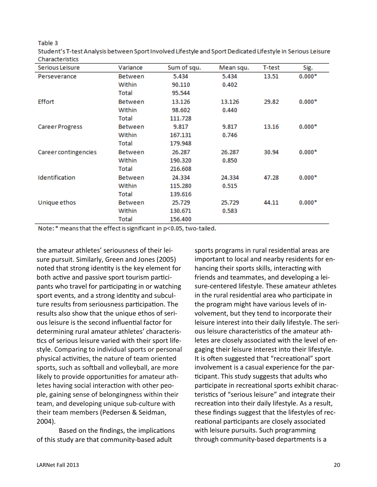Table 3

Student's T-test Analysis between Sport Involved Lifestyle and Sport Dedicated Lifestyle in Serious Leisure Characteristics

| Serious Leisure        | Variance       | Sum of squ. | Mean squ. | T-test | Sig.     |
|------------------------|----------------|-------------|-----------|--------|----------|
| Perseverance           | <b>Between</b> | 5.434       | 5.434     | 13.51  | $0.000*$ |
|                        | Within         | 90.110      | 0.402     |        |          |
|                        | Total          | 95.544      |           |        |          |
| <b>Effort</b>          | <b>Between</b> | 13.126      | 13.126    | 29.82  | $0.000*$ |
|                        | Within         | 98.602      | 0.440     |        |          |
|                        | Total          | 111.728     |           |        |          |
| <b>Career Progress</b> | <b>Between</b> | 9.817       | 9.817     | 13.16  | $0.000*$ |
|                        | Within         | 167.131     | 0.746     |        |          |
|                        | Total          | 179.948     |           |        |          |
| Career contingencies   | <b>Between</b> | 26.287      | 26.287    | 30.94  | $0.000*$ |
|                        | Within         | 190.320     | 0.850     |        |          |
|                        | Total          | 216.608     |           |        |          |
| Identification         | <b>Between</b> | 24.334      | 24.334    | 47.28  | $0.000*$ |
|                        | Within         | 115.280     | 0.515     |        |          |
|                        | Total          | 139.616     |           |        |          |
| Unique ethos           | <b>Between</b> | 25.729      | 25.729    | 44.11  | $0.000*$ |
|                        | Within         | 130.671     | 0.583     |        |          |
|                        | Total          | 156.400     |           |        |          |

Note: \* means that the effect is significant in p<0.05, two-tailed.

the amateur athletes' seriousness of their leisure pursuit. Similarly, Green and Jones (2005) noted that strong identity is the key element for both active and passive sport tourism participants who travel for participating in or watching sport events, and a strong identity and subculture results from seriousness participation. The results also show that the unique ethos of serious leisure is the second influential factor for determining rural amateur athletes' characteristics of serious leisure varied with their sport lifestyle. Comparing to individual sports or personal physical activities, the nature of team oriented sports, such as softball and volleyball, are more likely to provide opportunities for amateur athletes having social interaction with other people, gaining sense of belongingness within their team, and developing unique sub-culture with their team members (Pedersen & Seidman, 2004).

Based on the findings, the implications of this study are that community-based adult

sports programs in rural residential areas are important to local and nearby residents for enhancing their sports skills, interacting with friends and teammates, and developing a leisure-centered lifestyle. These amateur athletes in the rural residential area who participate in the program might have various levels of involvement, but they tend to incorporate their leisure interest into their daily lifestyle. The serious leisure characteristics of the amateur athletes are closely associated with the level of engaging their leisure interest into their lifestyle. It is often suggested that "recreational" sport involvement is a casual experience for the participant. This study suggests that adults who participate in recreational sports exhibit characteristics of "serious leisure" and integrate their recreation into their daily lifestyle. As a result, these findings suggest that the lifestyles of recreational participants are closely associated with leisure pursuits. Such programming through community-based departments is a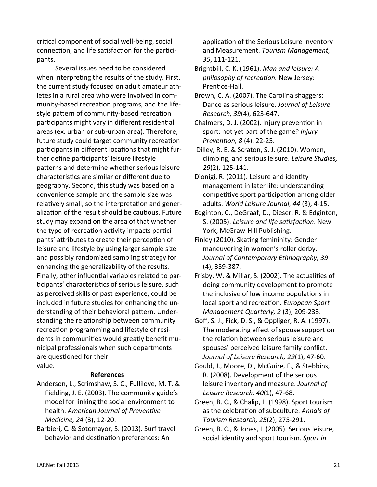critical component of social well-being, social connection, and life satisfaction for the participants.

Several issues need to be considered when interpreting the results of the study. First, the current study focused on adult amateur athletes in a rural area who were involved in community-based recreation programs, and the lifestyle pattern of community-based recreation participants might vary in different residential areas (ex. urban or sub-urban area). Therefore, future study could target community recreation participants in different locations that might further define participants' leisure lifestyle patterns and determine whether serious leisure characteristics are similar or different due to geography. Second, this study was based on a convenience sample and the sample size was relatively small, so the interpretation and generalization of the result should be cautious. Future study may expand on the area of that whether the type of recreation activity impacts participants' attributes to create their perception of leisure and lifestyle by using larger sample size and possibly randomized sampling strategy for enhancing the generalizability of the results. Finally, other influential variables related to participants' characteristics of serious leisure, such as perceived skills or past experience, could be included in future studies for enhancing the understanding of their behavioral pattern. Understanding the relationship between community recreation programming and lifestyle of residents in communities would greatly benefit municipal professionals when such departments are questioned for their value.

# **References**

- Anderson, L., Scrimshaw, S. C., Fullilove, M. T. & Fielding, J. E. (2003). The community guide's model for linking the social environment to health. *American Journal of Preventive Medicine, 24* (3), 12-20.
- Barbieri, C. & Sotomayor, S. (2013). Surf travel behavior and destination preferences: An

 application of the Serious Leisure Inventory and Measurement. *Tourism Management, 35*, 111-121.

Brightbill, C. K. (1961). *Man and leisure: A philosophy of recreation.* New Jersey: Prentice-Hall.

Brown, C. A. (2007). The Carolina shaggers: Dance as serious leisure. *Journal of Leisure Research, 39*(4), 623-647.

Chalmers, D. J. (2002). Injury prevention in sport: not yet part of the game? *Injury Prevention, 8* (4), 22-25.

Dilley, R. E. & Scraton, S. J. (2010). Women, climbing, and serious leisure. *Leisure Studies, 29*(2), 125-141.

Dionigi, R. (2011). Leisure and identity management in later life: understanding competitive sport participation among older adults. *World Leisure Journal, 44* (3), 4-15.

Edginton, C., DeGraaf, D., Dieser, R. & Edginton, S. (2005). *Leisure and life satisfaction*. New York, McGraw-Hill Publishing.

- Finley (2010). Skating femininity: Gender maneuvering in women's roller derby. *Journal of Contemporary Ethnography, 39* (4), 359-387.
- Frisby, W. & Millar, S. (2002). The actualities of doing community development to promote the inclusive of low income populations in local sport and recreation. *European Sport Management Quarterly, 2* (3), 209-233.

Goff, S. J., Fick, D. S., & Oppliger, R. A. (1997). The moderating effect of spouse support on the relation between serious leisure and spouses' perceived leisure family conflict. *Journal of Leisure Research, 29*(1), 47-60.

- Gould, J., Moore, D., McGuire, F., & Stebbins, R. (2008). Development of the serious leisure inventory and measure. *Journal of Leisure Research, 40*(1), 47-68.
- Green, B. C., & Chalip, L. (1998). Sport tourism as the celebration of subculture. *Annals of Tourism Research, 25*(2), 275-291.
- Green, B. C., & Jones, I. (2005). Serious leisure, social identity and sport tourism. *Sport in*